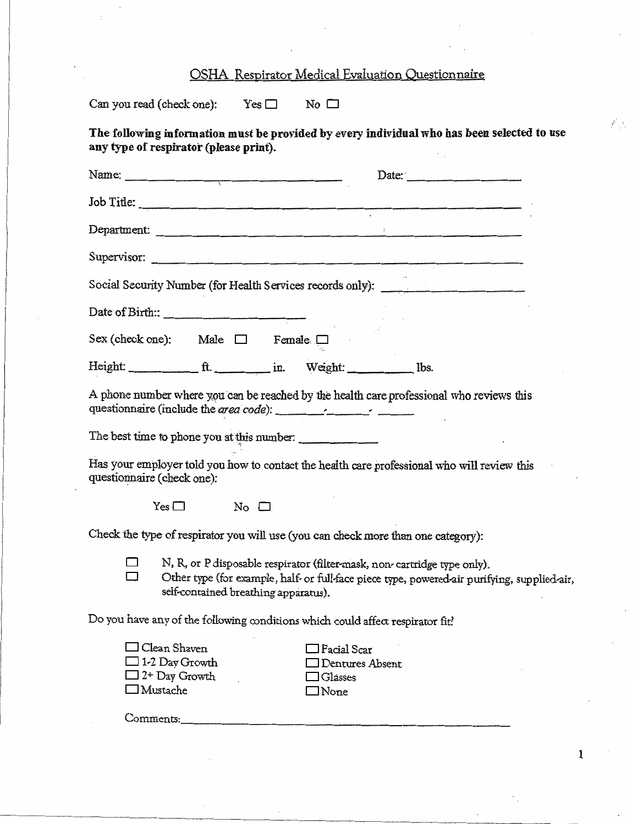## OSHA Respirator Medical Evaluation Questionnaire

Can you read (check one):  $Yes \Box$  No  $\Box$ 

**The follow"ing information must be provided by every individual who has been selected to use any type of respirator (please print).** 

| Name: $\frac{1}{1}$                                                                        | Date:                                                                                                                                                                    |
|--------------------------------------------------------------------------------------------|--------------------------------------------------------------------------------------------------------------------------------------------------------------------------|
|                                                                                            |                                                                                                                                                                          |
| Department:                                                                                | the contract of the contract of the contract of the contract of the contract of                                                                                          |
| Supervisor:                                                                                |                                                                                                                                                                          |
|                                                                                            | Social Security Number (for Health Services records only):                                                                                                               |
|                                                                                            |                                                                                                                                                                          |
| Sex (check one): Male $\Box$ Female $\Box$                                                 |                                                                                                                                                                          |
|                                                                                            |                                                                                                                                                                          |
|                                                                                            | A phone number where you can be reached by the health care professional who reviews this                                                                                 |
| The best time to phone you at this number:                                                 |                                                                                                                                                                          |
| questionnaire (check one):                                                                 | Has your employer told you how to contact the health care professional who will review this                                                                              |
| $Yes \Box$<br>No $\square$                                                                 |                                                                                                                                                                          |
| Check the type of respirator you will use (you can check more than one category):          |                                                                                                                                                                          |
| self-contained breathing apparatus).                                                       | N, R, or P disposable respirator (filter-mask, non-cartridge type only).<br>Other type (for example, half- or full-face piece type, powered air purifying, supplied-air, |
| Do you have any of the following conditions which could affect respirator fit?             |                                                                                                                                                                          |
| $\Box$ Clean Shaven<br>$\Box$ 1-2 Day Growth<br>$\square$ 2+ Day Growth<br>$\Box$ Mustache | ] Facial Scar<br>Dentures Absent<br>Glasses<br>⊐None                                                                                                                     |
| Comments:                                                                                  |                                                                                                                                                                          |

1

 $\mathcal{E}(\mathcal{F}_n)$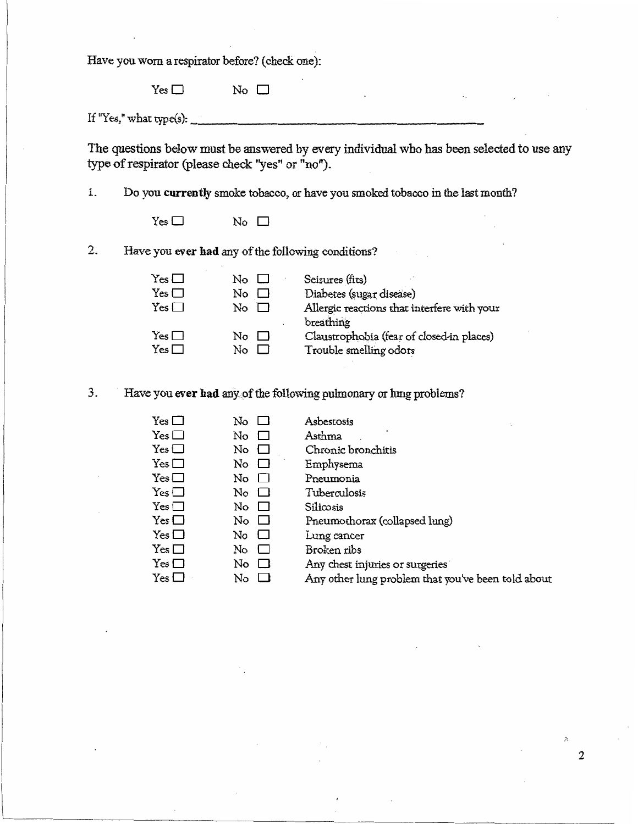Have you. worn a respirator before? ( check one):

 $Yes \Box$  No  $\Box$ 

If "Yes," what type(s):  $\frac{1}{2}$ 

The questions below must be answered by every individual who has been selected to use any type of respirator (please check "yes'' or "no").

1. Do you **currently** smoke tobacco, or have you smoked tobacco in the last month?

 $Yes \Box$  No  $\Box$ 

2. Have you ever had any of the following conditions?

| $Yes \Box$               | Nο       | Seizures (fits)                                                     |
|--------------------------|----------|---------------------------------------------------------------------|
| $Yes \Box$               | No       | Diabetes (sugar disease)                                            |
| $Yes \Box$               | No       | Allergic reactions that interfere with your<br>breathing            |
| $Yes \Box$<br>$Yes \Box$ | Nο<br>Nο | Claustrophobia (fear of closed-in places)<br>Trouble smelling odors |
|                          |          |                                                                     |

3. Have you ever had any of the following pulmonary or lung problems?

| $Yes \Box$ | No                               | Asbestosis                                         |
|------------|----------------------------------|----------------------------------------------------|
| $Yes \Box$ | No<br>$\Box$                     | Asthma                                             |
| $Yes \Box$ | No<br>ப                          | Chronic bronchitis                                 |
| $Yes \Box$ | No<br>⊔                          | Emphysema                                          |
| Yes $\Box$ | No.<br>$\Box$                    | Pneumonia                                          |
| $Yes \Box$ | $\overline{N}$ o $\Box$          | Tuberculosis                                       |
| $Yes \Box$ | $\overline{\mathbb{N}}$ o $\Box$ | Silicosis                                          |
| $Yes \Box$ | $\rm{No}$ $\Box$                 | Pneumothorax (collapsed lung)                      |
| $Yes \Box$ | No.<br>$\Box$                    | Lung cancer                                        |
| $Yes \Box$ | No<br>$\Box$                     | Broken ribs                                        |
| $Yes \Box$ | No<br>└                          | Any chest injuries or surgeries                    |
| $Yes \Box$ | No<br>$\mathbf{L}$               | Any other lung problem that you've been told about |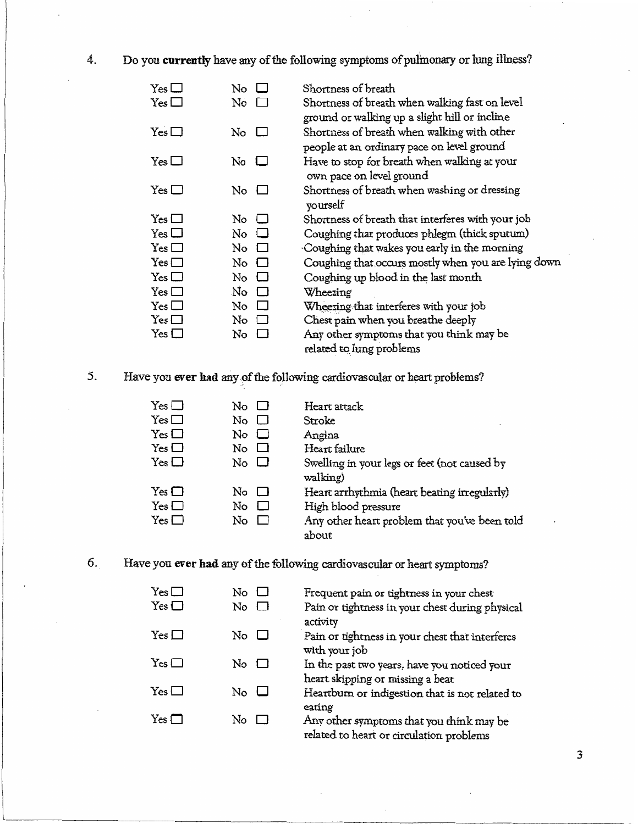4. Do you **currently** have any of the following symptoms of pulmonary or lung illness?

| $\rm Yes$ $\Box$      | No                        | Shortness of breath                                 |
|-----------------------|---------------------------|-----------------------------------------------------|
| $Yes \Box$            | No $\Box$                 | Shortness of breath when walking fast on level      |
|                       |                           | ground or walking up a slight hill or incline       |
| $Yes \Box$            | No $\Box$                 | Shortness of breath when walking with other         |
|                       |                           | people at an ordinary pace on level ground          |
| $Yes \Box$            | No $\Box$                 | Have to stop for breath when walking at your        |
|                       |                           | own pace on level ground                            |
| $Yes \Box$            | No $\Box$                 | Shortness of breath when washing or dressing        |
|                       |                           | yourself                                            |
| $Yes \Box$            | No.<br>$\Box$             | Shortness of breath that interferes with your job   |
| Yes $\square$         | No<br>$\overline{1}$      | Coughing that produces phlegm (thick sputum)        |
| $Yes \Box$            | $\overline{N}_{0}$ $\Box$ | Coughing that wakes you early in the morning        |
| $Yes \Box$            | No $\Box$                 | Coughing that occurs mostly when you are lying down |
| $Yes \Box$            | $\rm{No}$ $\Box$          | Coughing up blood in the last month                 |
| $Yes \Box$            | No $\Box$                 | Wheezing                                            |
| $Yes \Box$            | No $\Box$                 | Wheering that interferes with your job              |
| $Yes \Box$            | No<br>$\blacksquare$      | Chest pain when you breathe deeply                  |
| $\mathrm{Yes} \,\Box$ | $\rm No$ $\Box$           | Any other symptoms that you think may be            |
|                       |                           | related to lung problems                            |

5. Have you ever had any of the following cardiovascular or heart problems?

| $\rm{No}$ $\Box$      | Heart attack                                             |
|-----------------------|----------------------------------------------------------|
| $\mathbb N$ o $\Box$  | Stroke                                                   |
| No.<br>$\blacksquare$ | Angina                                                   |
| No.<br>$\blacksquare$ | Heart failure                                            |
| No II                 | Swelling in your legs or feet (not caused by<br>walking) |
| $\rm{No}$ $\Box$      | Heart arrhythmia (heart beating irregularly)             |
| No<br>$\mathbf{r}$    | High blood pressure                                      |
| No.<br>$\mathbf{r}$   | Any other heart problem that you've been told<br>about   |
|                       |                                                          |

6. Have you **ever had** any of the following cardiovascular or heart symptoms?

| $Yes \Box$ | No                                    | Frequent pain or tightness in your chest                                             |
|------------|---------------------------------------|--------------------------------------------------------------------------------------|
| $Yes \Box$ | No.<br>$\blacksquare$                 | Pain or tightness in your chest during physical<br>activity                          |
| $Yes \Box$ | No $\Box$                             | Pain or tightness in your chest that interferes<br>with your job                     |
| $Yes \Box$ | $\overline{\rm No}$ $\overline{\Box}$ | In the past two years, have you noticed your<br>heart skipping or missing a beat     |
| $Yes \Box$ | $\rm{No}\ \sqcup$                     | Heartburn or indigestion that is not related to<br>eating                            |
| $Yes \Box$ | No<br>$\Box$                          | Any other symptoms that you think may be<br>related to heart or circulation problems |

3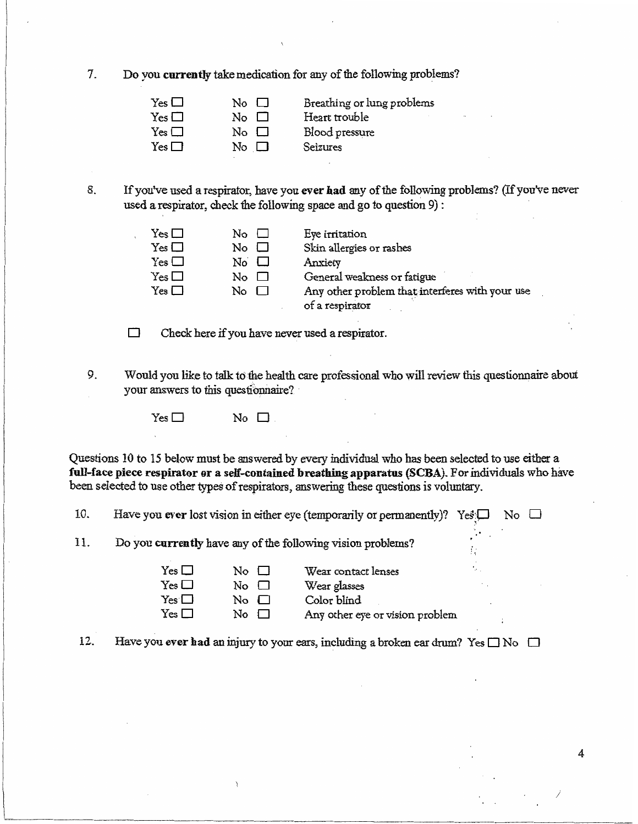7. Do you **currently** take medication for any of the following problems?

| $Yes \Box$ | $\overline{N_{\mathcal{O}}}$ $\Box$ | Breathing or lung problems |
|------------|-------------------------------------|----------------------------|
| $Yes \Box$ | $\overline{N}$ o $\overline{\Box}$  | Heart trouble              |
| $Yes \Box$ | $\overline{N_{\Omega}}$ $\Box$      | Blood pressure             |
| $Yes \Box$ | $\overline{N}$ o $\Box$             | Seizures                   |

8. If you've used a respirator, have you **ever had** any of the following problems? (If you've never used a respirator, check the following space and go to question 9) :

| 1C3 LJ               |  |
|----------------------|--|
| Yes $\Box$           |  |
| Yes □                |  |
| Yes $\Box$           |  |
| $\mathrm{Yes}\,\Box$ |  |

 $Yes \Box$  No  $\Box$  Eye irritation  $No \tSkin$  allergies or rashes  $No \t\t\Box$  Anxiety  $No \tQ$  General weakness or fatigue  $\text{No} \quad \Box$  Any other problem that interferes with your use of a respirator

*)* 

4

D Check here if you have never used a respirator.

9. Would you like to talk to the health care professional who will review this questionnaire about your answers to this questionnaire?

 $Yes \Box$  No  $\Box$ 

Questions 10 to 15 below must be answered by every individual who has been selected to use either a full-face piece respirator or a self-contained breathing apparatus (SCBA). For individuals who have been selected to use other types of respirators, answering these questions is voluntary.

10. Have you ever lost vision in either eye (temporarily or permanently)? Yes $\square$  No  $\square$ 

11. Do you **currently** have any of the following vision problems?

| $Yes \Box$ | $\mathbb{N}^{\circ}$ $\Box$                     | Wear contact lenses             |
|------------|-------------------------------------------------|---------------------------------|
| $Yes \Box$ | $\overline{N}_{\overline{O}}$ $\overline{\Box}$ | Wear glasses                    |
| $Yes \Box$ | $\overline{N}_{\overline{O}}$ $\overline{\Box}$ | Color blind                     |
| $Yes \Box$ | $\overline{N_{\Omega}}$ $\Box$                  | Any other eye or vision problem |

12. Have you ever had an injury to your ears, including a broken ear drum? Yes  $\Box$  No  $\Box$